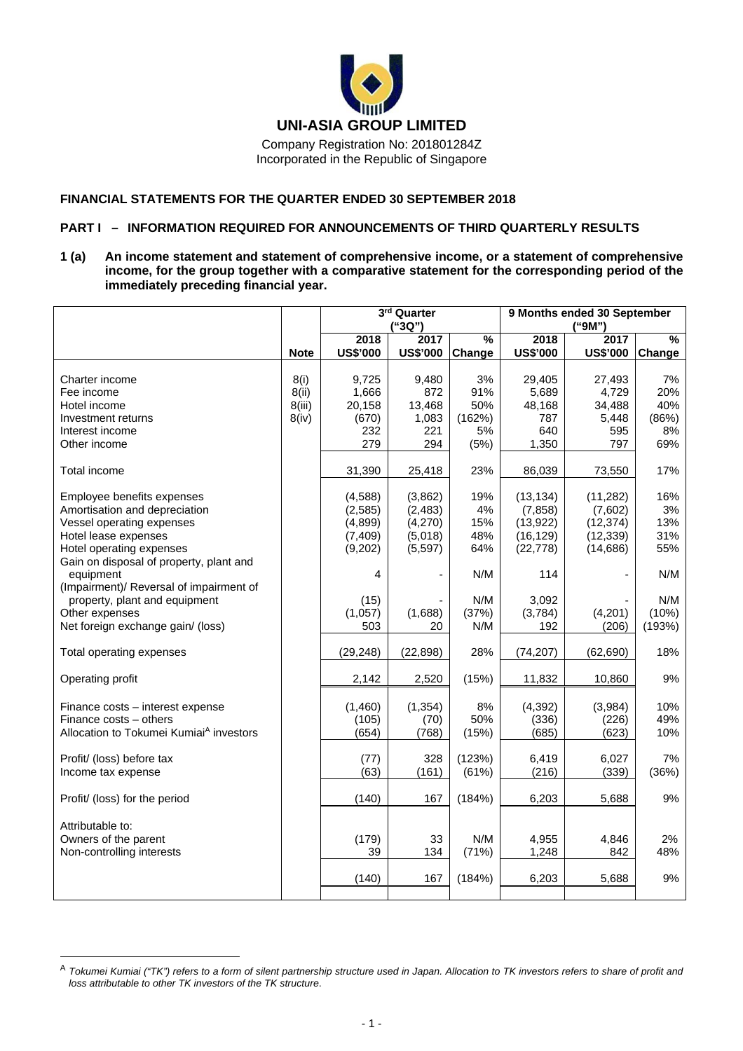

Incorporated in the Republic of Singapore

## **FINANCIAL STATEMENTS FOR THE QUARTER ENDED 30 SEPTEMBER 2018**

# **PART I – INFORMATION REQUIRED FOR ANNOUNCEMENTS OF THIRD QUARTERLY RESULTS**

**1 (a) An income statement and statement of comprehensive income, or a statement of comprehensive income, for the group together with a comparative statement for the corresponding period of the immediately preceding financial year.** 

|                                                                                                                                              |                                  | 3rd Quarter<br>("3Q")                                |                                                       |                                          | 9 Months ended 30 September<br>("9M")                        |                                                             |                                        |  |
|----------------------------------------------------------------------------------------------------------------------------------------------|----------------------------------|------------------------------------------------------|-------------------------------------------------------|------------------------------------------|--------------------------------------------------------------|-------------------------------------------------------------|----------------------------------------|--|
|                                                                                                                                              | <b>Note</b>                      | 2018<br><b>US\$'000</b>                              | 2017<br><b>US\$'000</b>                               | $\frac{9}{6}$<br>Change                  | 2018<br><b>US\$'000</b>                                      | 2017<br><b>US\$'000</b>                                     | $\frac{9}{6}$<br>Change                |  |
| Charter income<br>Fee income<br>Hotel income<br>Investment returns<br>Interest income<br>Other income                                        | 8(i)<br>8(ii)<br>8(iii)<br>8(iv) | 9,725<br>1,666<br>20,158<br>(670)<br>232<br>279      | 9,480<br>872<br>13,468<br>1,083<br>221<br>294         | 3%<br>91%<br>50%<br>(162%)<br>5%<br>(5%) | 29,405<br>5,689<br>48,168<br>787<br>640<br>1,350             | 27,493<br>4,729<br>34,488<br>5,448<br>595<br>797            | 7%<br>20%<br>40%<br>(86%)<br>8%<br>69% |  |
| Total income                                                                                                                                 |                                  | 31,390                                               | 25,418                                                | 23%                                      | 86,039                                                       | 73,550                                                      | 17%                                    |  |
| Employee benefits expenses<br>Amortisation and depreciation<br>Vessel operating expenses<br>Hotel lease expenses<br>Hotel operating expenses |                                  | (4,588)<br>(2,585)<br>(4,899)<br>(7, 409)<br>(9,202) | (3,862)<br>(2, 483)<br>(4,270)<br>(5,018)<br>(5, 597) | 19%<br>4%<br>15%<br>48%<br>64%           | (13, 134)<br>(7, 858)<br>(13, 922)<br>(16, 129)<br>(22, 778) | (11, 282)<br>(7,602)<br>(12, 374)<br>(12, 339)<br>(14, 686) | 16%<br>3%<br>13%<br>31%<br>55%         |  |
| Gain on disposal of property, plant and<br>equipment<br>(Impairment)/ Reversal of impairment of                                              |                                  | 4                                                    |                                                       | N/M                                      | 114                                                          |                                                             | N/M                                    |  |
| property, plant and equipment<br>Other expenses<br>Net foreign exchange gain/ (loss)                                                         |                                  | (15)<br>(1,057)<br>503                               | (1,688)<br>20                                         | N/M<br>(37%)<br>N/M                      | 3,092<br>(3,784)<br>192                                      | (4,201)<br>(206)                                            | N/M<br>(10%)<br>(193%)                 |  |
| Total operating expenses                                                                                                                     |                                  | (29, 248)                                            | (22, 898)                                             | 28%                                      | (74, 207)                                                    | (62, 690)                                                   | 18%                                    |  |
| Operating profit                                                                                                                             |                                  | 2,142                                                | 2,520                                                 | (15%)                                    | 11,832                                                       | 10,860                                                      | 9%                                     |  |
| Finance costs - interest expense<br>Finance costs - others<br>Allocation to Tokumei Kumiai <sup>A</sup> investors                            |                                  | (1,460)<br>(105)<br>(654)                            | (1, 354)<br>(70)<br>(768)                             | 8%<br>50%<br>(15%)                       | (4, 392)<br>(336)<br>(685)                                   | (3,984)<br>(226)<br>(623)                                   | 10%<br>49%<br>10%                      |  |
| Profit/ (loss) before tax<br>Income tax expense                                                                                              |                                  | (77)<br>(63)                                         | 328<br>(161)                                          | (123%)<br>(61%)                          | 6,419<br>(216)                                               | 6,027<br>(339)                                              | 7%<br>(36%)                            |  |
| Profit/ (loss) for the period                                                                                                                |                                  | (140)                                                | 167                                                   | (184%)                                   | 6,203                                                        | 5,688                                                       | 9%                                     |  |
| Attributable to:<br>Owners of the parent<br>Non-controlling interests                                                                        |                                  | (179)<br>39                                          | 33<br>134                                             | N/M<br>(71%)                             | 4,955<br>1,248                                               | 4,846<br>842                                                | 2%<br>48%                              |  |
|                                                                                                                                              |                                  | (140)                                                | 167                                                   | (184%)                                   | 6,203                                                        | 5,688                                                       | 9%                                     |  |

 $\overline{a}$ 

<sup>A</sup> *Tokumei Kumiai ("TK") refers to a form of silent partnership structure used in Japan. Allocation to TK investors refers to share of profit and loss attributable to other TK investors of the TK structure*.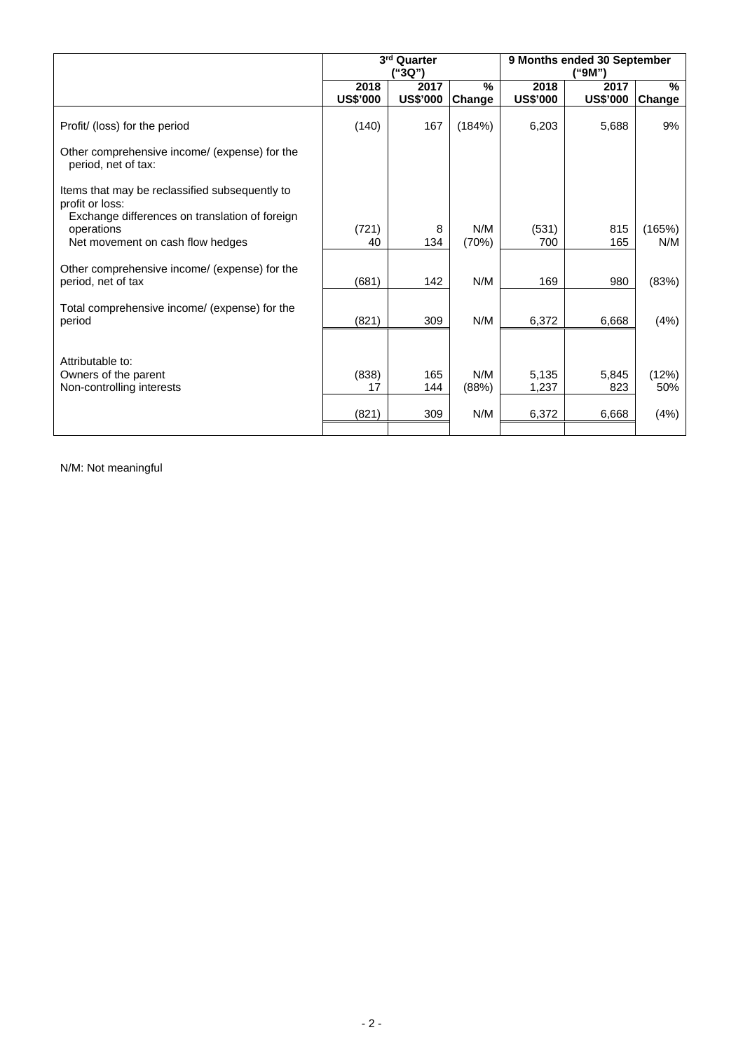|                                                                                                                     |                         | 3rd Quarter<br>'"3Q")   |                |                         | 9 Months ended 30 September<br>("9M") |                |  |  |  |
|---------------------------------------------------------------------------------------------------------------------|-------------------------|-------------------------|----------------|-------------------------|---------------------------------------|----------------|--|--|--|
|                                                                                                                     | 2018<br><b>US\$'000</b> | 2017<br><b>US\$'000</b> | $\%$<br>Change | 2018<br><b>US\$'000</b> | 2017<br><b>US\$'000</b>               | $\%$<br>Change |  |  |  |
| Profit/ (loss) for the period                                                                                       | (140)                   | 167                     | (184%)         | 6,203                   | 5,688                                 | 9%             |  |  |  |
| Other comprehensive income/ (expense) for the<br>period, net of tax:                                                |                         |                         |                |                         |                                       |                |  |  |  |
| Items that may be reclassified subsequently to<br>profit or loss:<br>Exchange differences on translation of foreign |                         |                         |                |                         |                                       |                |  |  |  |
| operations<br>Net movement on cash flow hedges                                                                      | (721)<br>40             | 8<br>134                | N/M<br>(70%)   | (531)<br>700            | 815<br>165                            | (165%)<br>N/M  |  |  |  |
| Other comprehensive income/ (expense) for the<br>period, net of tax                                                 | (681)                   | 142                     | N/M            | 169                     | 980                                   | (83%)          |  |  |  |
| Total comprehensive income/ (expense) for the<br>period                                                             | (821)                   | 309                     | N/M            | 6,372                   | 6,668                                 | (4%)           |  |  |  |
| Attributable to:                                                                                                    |                         |                         |                |                         |                                       |                |  |  |  |
| Owners of the parent<br>Non-controlling interests                                                                   | (838)<br>17             | 165<br>144              | N/M<br>(88%)   | 5,135<br>1,237          | 5,845<br>823                          | (12%)<br>50%   |  |  |  |
|                                                                                                                     | (821)                   | 309                     | N/M            | 6,372                   | 6,668                                 | (4%)           |  |  |  |
|                                                                                                                     |                         |                         |                |                         |                                       |                |  |  |  |

N/M: Not meaningful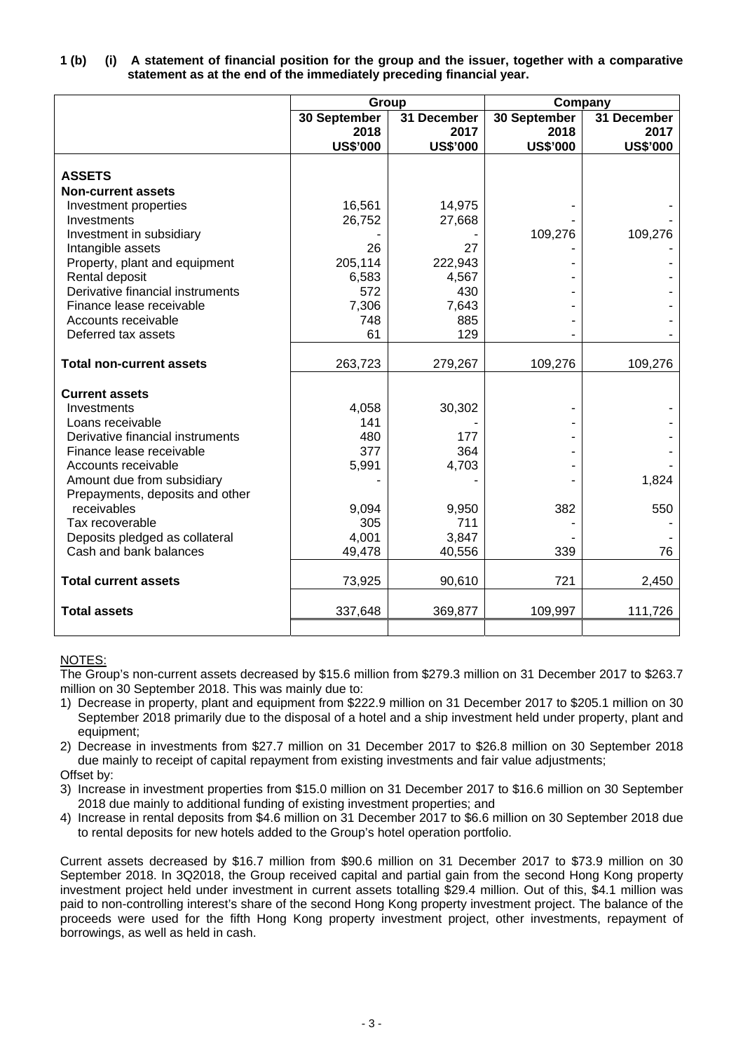|  | 1 (b) (i) A statement of financial position for the group and the issuer, together with a comparative |
|--|-------------------------------------------------------------------------------------------------------|
|  | statement as at the end of the immediately preceding financial year.                                  |

|                                  | Group           |                 | Company         |                 |
|----------------------------------|-----------------|-----------------|-----------------|-----------------|
|                                  | 30 September    | 31 December     | 30 September    | 31 December     |
|                                  | 2018            | 2017            | 2018            | 2017            |
|                                  | <b>US\$'000</b> | <b>US\$'000</b> | <b>US\$'000</b> | <b>US\$'000</b> |
| <b>ASSETS</b>                    |                 |                 |                 |                 |
| <b>Non-current assets</b>        |                 |                 |                 |                 |
| Investment properties            | 16,561          | 14,975          |                 |                 |
| Investments                      | 26,752          | 27,668          |                 |                 |
| Investment in subsidiary         |                 |                 | 109,276         | 109,276         |
| Intangible assets                | 26              | 27              |                 |                 |
| Property, plant and equipment    | 205,114         | 222,943         |                 |                 |
| Rental deposit                   | 6,583           | 4,567           |                 |                 |
| Derivative financial instruments | 572             | 430             |                 |                 |
| Finance lease receivable         | 7,306           | 7,643           |                 |                 |
| Accounts receivable              | 748             | 885             |                 |                 |
| Deferred tax assets              | 61              | 129             |                 |                 |
| <b>Total non-current assets</b>  | 263,723         | 279,267         | 109,276         | 109,276         |
| <b>Current assets</b>            |                 |                 |                 |                 |
| Investments                      | 4,058           | 30,302          |                 |                 |
| Loans receivable                 | 141             |                 |                 |                 |
| Derivative financial instruments | 480             | 177             |                 |                 |
| Finance lease receivable         | 377             | 364             |                 |                 |
| Accounts receivable              | 5,991           | 4,703           |                 |                 |
| Amount due from subsidiary       |                 |                 |                 | 1,824           |
| Prepayments, deposits and other  |                 |                 |                 |                 |
| receivables                      | 9,094           | 9,950           | 382             | 550             |
| Tax recoverable                  | 305             | 711             |                 |                 |
| Deposits pledged as collateral   | 4,001           | 3,847           |                 |                 |
| Cash and bank balances           | 49,478          | 40,556          | 339             | 76              |
| <b>Total current assets</b>      | 73,925          | 90,610          | 721             | 2,450           |
| <b>Total assets</b>              | 337,648         | 369,877         | 109,997         | 111,726         |
|                                  |                 |                 |                 |                 |

# NOTES:

The Group's non-current assets decreased by \$15.6 million from \$279.3 million on 31 December 2017 to \$263.7 million on 30 September 2018. This was mainly due to:

- 1) Decrease in property, plant and equipment from \$222.9 million on 31 December 2017 to \$205.1 million on 30 September 2018 primarily due to the disposal of a hotel and a ship investment held under property, plant and equipment;
- 2) Decrease in investments from \$27.7 million on 31 December 2017 to \$26.8 million on 30 September 2018 due mainly to receipt of capital repayment from existing investments and fair value adjustments;

Offset by:

- 3) Increase in investment properties from \$15.0 million on 31 December 2017 to \$16.6 million on 30 September 2018 due mainly to additional funding of existing investment properties; and
- 4) Increase in rental deposits from \$4.6 million on 31 December 2017 to \$6.6 million on 30 September 2018 due to rental deposits for new hotels added to the Group's hotel operation portfolio.

Current assets decreased by \$16.7 million from \$90.6 million on 31 December 2017 to \$73.9 million on 30 September 2018. In 3Q2018, the Group received capital and partial gain from the second Hong Kong property investment project held under investment in current assets totalling \$29.4 million. Out of this, \$4.1 million was paid to non-controlling interest's share of the second Hong Kong property investment project. The balance of the proceeds were used for the fifth Hong Kong property investment project, other investments, repayment of borrowings, as well as held in cash.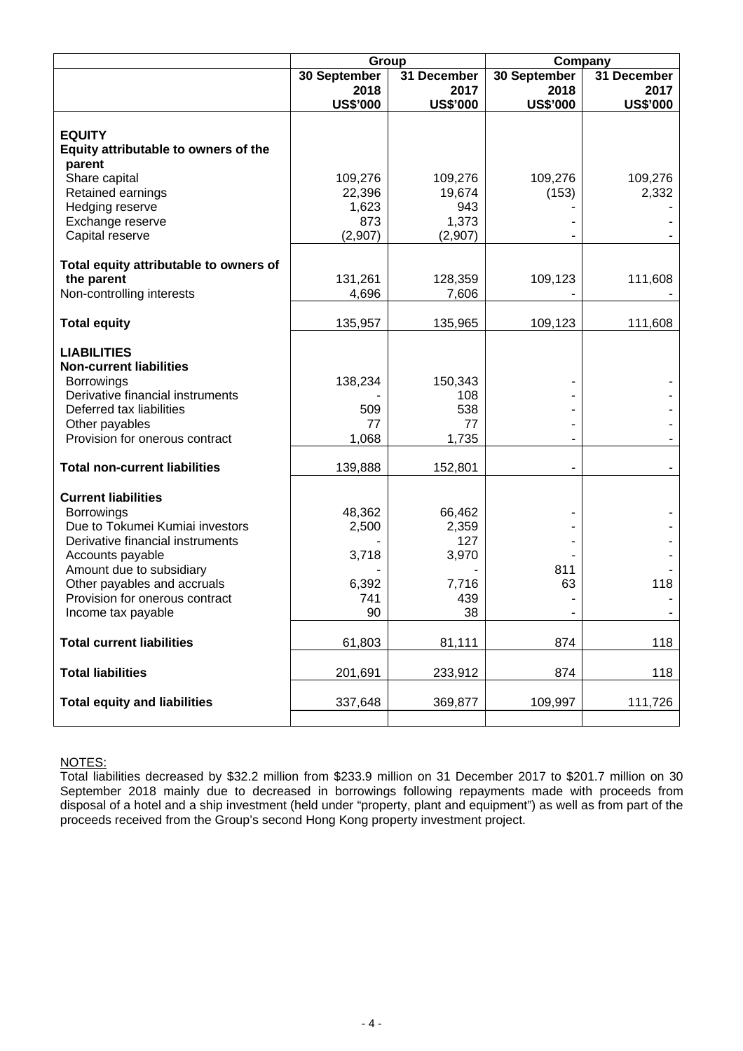|                                                      |                 | Group           |                          | Company         |  |  |  |
|------------------------------------------------------|-----------------|-----------------|--------------------------|-----------------|--|--|--|
|                                                      | 30 September    | 31 December     | 30 September             | 31 December     |  |  |  |
|                                                      | 2018            | 2017            | 2018                     | 2017            |  |  |  |
|                                                      | <b>US\$'000</b> | <b>US\$'000</b> | <b>US\$'000</b>          | <b>US\$'000</b> |  |  |  |
|                                                      |                 |                 |                          |                 |  |  |  |
| <b>EQUITY</b>                                        |                 |                 |                          |                 |  |  |  |
| Equity attributable to owners of the                 |                 |                 |                          |                 |  |  |  |
| parent                                               |                 |                 |                          |                 |  |  |  |
| Share capital                                        | 109,276         | 109,276         | 109,276                  | 109,276         |  |  |  |
| Retained earnings<br>Hedging reserve                 | 22,396<br>1,623 | 19,674<br>943   | (153)                    | 2,332           |  |  |  |
| Exchange reserve                                     | 873             | 1,373           |                          |                 |  |  |  |
| Capital reserve                                      | (2,907)         | (2,907)         |                          |                 |  |  |  |
|                                                      |                 |                 |                          |                 |  |  |  |
| Total equity attributable to owners of               |                 |                 |                          |                 |  |  |  |
| the parent                                           | 131,261         | 128,359         | 109,123                  | 111,608         |  |  |  |
| Non-controlling interests                            | 4,696           | 7,606           |                          |                 |  |  |  |
|                                                      |                 |                 |                          |                 |  |  |  |
| <b>Total equity</b>                                  | 135,957         | 135,965         | 109,123                  | 111,608         |  |  |  |
|                                                      |                 |                 |                          |                 |  |  |  |
| <b>LIABILITIES</b>                                   |                 |                 |                          |                 |  |  |  |
| <b>Non-current liabilities</b>                       |                 |                 |                          |                 |  |  |  |
| <b>Borrowings</b>                                    | 138,234         | 150,343         |                          |                 |  |  |  |
| Derivative financial instruments                     |                 | 108             |                          |                 |  |  |  |
| Deferred tax liabilities                             | 509             | 538             |                          |                 |  |  |  |
| Other payables                                       | 77              | 77              |                          |                 |  |  |  |
| Provision for onerous contract                       | 1,068           | 1,735           |                          |                 |  |  |  |
|                                                      |                 |                 |                          |                 |  |  |  |
| <b>Total non-current liabilities</b>                 | 139,888         | 152,801         | $\overline{\phantom{a}}$ |                 |  |  |  |
|                                                      |                 |                 |                          |                 |  |  |  |
| <b>Current liabilities</b>                           |                 |                 |                          |                 |  |  |  |
| <b>Borrowings</b><br>Due to Tokumei Kumiai investors | 48,362          | 66,462          |                          |                 |  |  |  |
| Derivative financial instruments                     | 2,500           | 2,359<br>127    |                          |                 |  |  |  |
| Accounts payable                                     | 3,718           | 3,970           |                          |                 |  |  |  |
| Amount due to subsidiary                             |                 |                 | 811                      |                 |  |  |  |
| Other payables and accruals                          | 6,392           | 7,716           | 63                       | 118             |  |  |  |
| Provision for onerous contract                       | 741             | 439             |                          |                 |  |  |  |
| Income tax payable                                   | 90              | 38              |                          |                 |  |  |  |
|                                                      |                 |                 |                          |                 |  |  |  |
| <b>Total current liabilities</b>                     | 61,803          | 81,111          | 874                      | 118             |  |  |  |
|                                                      |                 |                 |                          |                 |  |  |  |
| <b>Total liabilities</b>                             | 201,691         | 233,912         | 874                      | 118             |  |  |  |
|                                                      |                 |                 |                          |                 |  |  |  |
| <b>Total equity and liabilities</b>                  | 337,648         | 369,877         | 109,997                  | 111,726         |  |  |  |
|                                                      |                 |                 |                          |                 |  |  |  |
|                                                      |                 |                 |                          |                 |  |  |  |

# NOTES:

Total liabilities decreased by \$32.2 million from \$233.9 million on 31 December 2017 to \$201.7 million on 30 September 2018 mainly due to decreased in borrowings following repayments made with proceeds from disposal of a hotel and a ship investment (held under "property, plant and equipment") as well as from part of the proceeds received from the Group's second Hong Kong property investment project.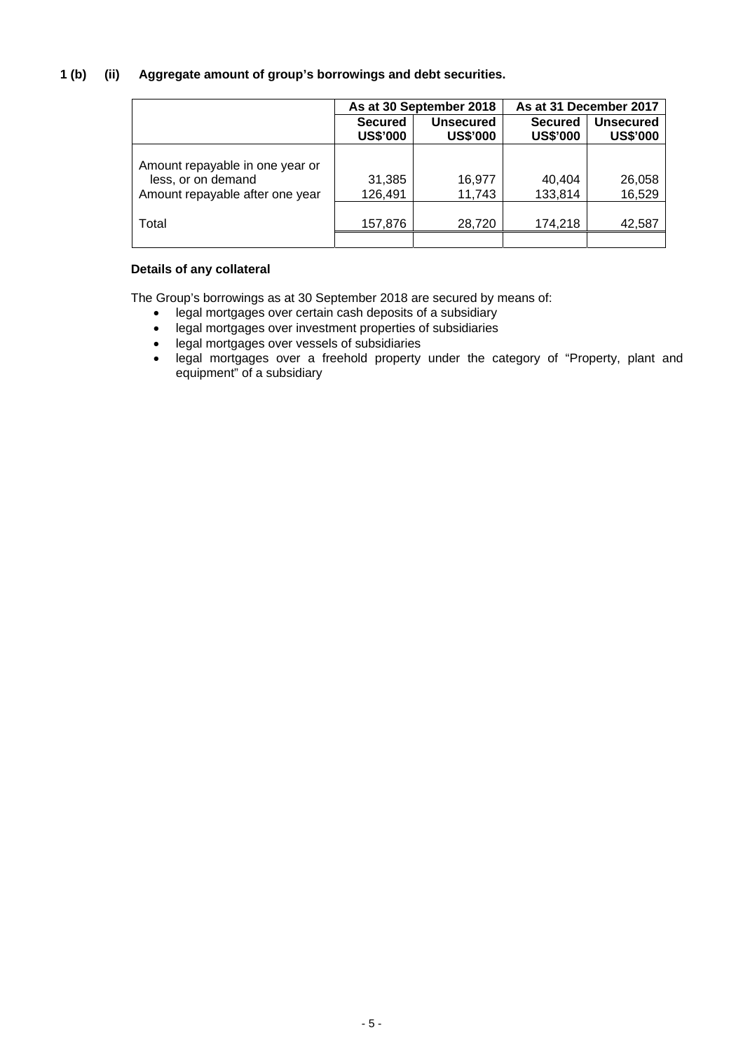# **1 (b) (ii) Aggregate amount of group's borrowings and debt securities.**

|                                                                                          |                                   | As at 30 September 2018             | As at 31 December 2017            |                                     |  |
|------------------------------------------------------------------------------------------|-----------------------------------|-------------------------------------|-----------------------------------|-------------------------------------|--|
|                                                                                          | <b>Secured</b><br><b>US\$'000</b> | <b>Unsecured</b><br><b>US\$'000</b> | <b>Secured</b><br><b>US\$'000</b> | <b>Unsecured</b><br><b>US\$'000</b> |  |
| Amount repayable in one year or<br>less, or on demand<br>Amount repayable after one year | 31,385<br>126,491                 | 16,977<br>11,743                    | 40,404<br>133,814                 | 26,058<br>16,529                    |  |
| Total                                                                                    | 157,876                           | 28,720                              | 174,218                           | 42,587                              |  |

# **Details of any collateral**

The Group's borrowings as at 30 September 2018 are secured by means of:

- legal mortgages over certain cash deposits of a subsidiary<br>• legal mortgages over investment properties of subsidiaries
- legal mortgages over investment properties of subsidiaries
- legal mortgages over vessels of subsidiaries
- legal mortgages over a freehold property under the category of "Property, plant and equipment" of a subsidiary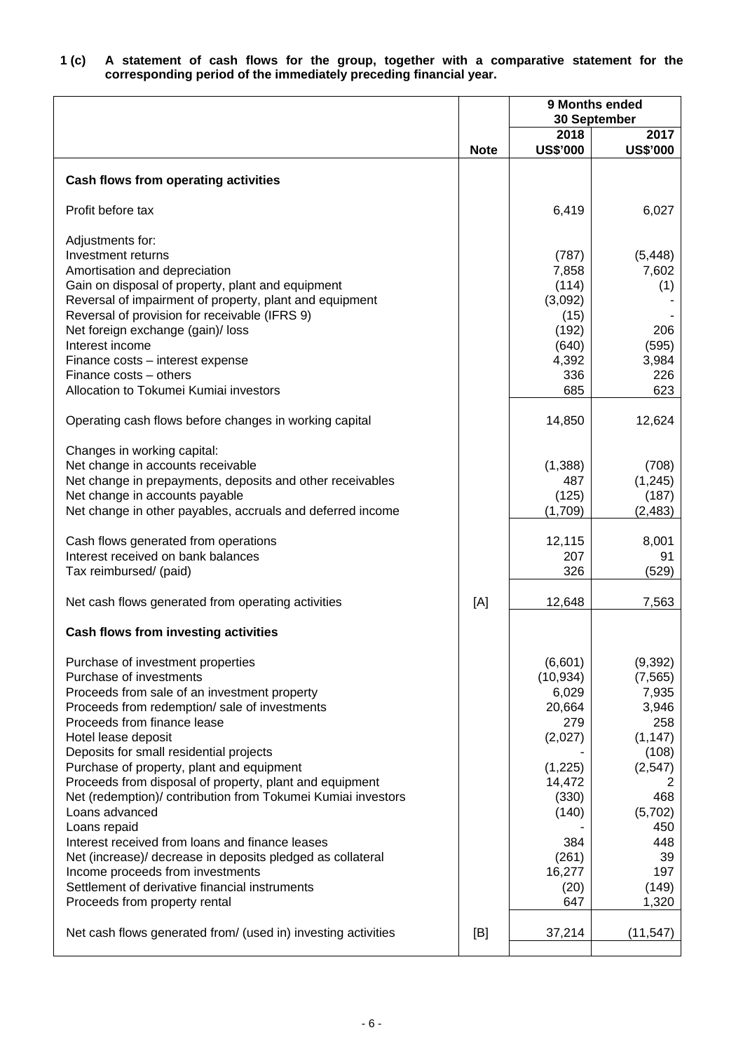| 1 (c) |  |  |  |  |                                                                   |  | A statement of cash flows for the group, together with a comparative statement for the |  |  |
|-------|--|--|--|--|-------------------------------------------------------------------|--|----------------------------------------------------------------------------------------|--|--|
|       |  |  |  |  | corresponding period of the immediately preceding financial year. |  |                                                                                        |  |  |

|                                                                                                                                                                                                                                                                                                                                                                                                                                                                                                                                                                                                                                                                                                                  |             |                                                                                                                                           | 9 Months ended<br>30 September                                                                                                                |
|------------------------------------------------------------------------------------------------------------------------------------------------------------------------------------------------------------------------------------------------------------------------------------------------------------------------------------------------------------------------------------------------------------------------------------------------------------------------------------------------------------------------------------------------------------------------------------------------------------------------------------------------------------------------------------------------------------------|-------------|-------------------------------------------------------------------------------------------------------------------------------------------|-----------------------------------------------------------------------------------------------------------------------------------------------|
|                                                                                                                                                                                                                                                                                                                                                                                                                                                                                                                                                                                                                                                                                                                  | <b>Note</b> | 2018<br><b>US\$'000</b>                                                                                                                   | 2017<br><b>US\$'000</b>                                                                                                                       |
|                                                                                                                                                                                                                                                                                                                                                                                                                                                                                                                                                                                                                                                                                                                  |             |                                                                                                                                           |                                                                                                                                               |
| Cash flows from operating activities                                                                                                                                                                                                                                                                                                                                                                                                                                                                                                                                                                                                                                                                             |             |                                                                                                                                           |                                                                                                                                               |
| Profit before tax                                                                                                                                                                                                                                                                                                                                                                                                                                                                                                                                                                                                                                                                                                |             | 6,419                                                                                                                                     | 6,027                                                                                                                                         |
| Adjustments for:<br>Investment returns<br>Amortisation and depreciation<br>Gain on disposal of property, plant and equipment<br>Reversal of impairment of property, plant and equipment<br>Reversal of provision for receivable (IFRS 9)<br>Net foreign exchange (gain)/ loss<br>Interest income<br>Finance costs - interest expense<br>Finance costs – others                                                                                                                                                                                                                                                                                                                                                   |             | (787)<br>7,858<br>(114)<br>(3,092)<br>(15)<br>(192)<br>(640)<br>4,392<br>336                                                              | (5, 448)<br>7,602<br>(1)<br>206<br>(595)<br>3,984<br>226                                                                                      |
| Allocation to Tokumei Kumiai investors                                                                                                                                                                                                                                                                                                                                                                                                                                                                                                                                                                                                                                                                           |             | 685                                                                                                                                       | 623                                                                                                                                           |
| Operating cash flows before changes in working capital                                                                                                                                                                                                                                                                                                                                                                                                                                                                                                                                                                                                                                                           |             | 14,850                                                                                                                                    | 12,624                                                                                                                                        |
| Changes in working capital:<br>Net change in accounts receivable<br>Net change in prepayments, deposits and other receivables<br>Net change in accounts payable<br>Net change in other payables, accruals and deferred income                                                                                                                                                                                                                                                                                                                                                                                                                                                                                    |             | (1,388)<br>487<br>(125)<br>(1,709)                                                                                                        | (708)<br>(1, 245)<br>(187)<br>(2, 483)                                                                                                        |
| Cash flows generated from operations<br>Interest received on bank balances<br>Tax reimbursed/ (paid)                                                                                                                                                                                                                                                                                                                                                                                                                                                                                                                                                                                                             |             | 12,115<br>207<br>326                                                                                                                      | 8,001<br>91<br>(529)                                                                                                                          |
| Net cash flows generated from operating activities                                                                                                                                                                                                                                                                                                                                                                                                                                                                                                                                                                                                                                                               | [A]         | 12,648                                                                                                                                    | 7,563                                                                                                                                         |
| Cash flows from investing activities                                                                                                                                                                                                                                                                                                                                                                                                                                                                                                                                                                                                                                                                             |             |                                                                                                                                           |                                                                                                                                               |
| Purchase of investment properties<br>Purchase of investments<br>Proceeds from sale of an investment property<br>Proceeds from redemption/ sale of investments<br>Proceeds from finance lease<br>Hotel lease deposit<br>Deposits for small residential projects<br>Purchase of property, plant and equipment<br>Proceeds from disposal of property, plant and equipment<br>Net (redemption)/ contribution from Tokumei Kumiai investors<br>Loans advanced<br>Loans repaid<br>Interest received from loans and finance leases<br>Net (increase)/ decrease in deposits pledged as collateral<br>Income proceeds from investments<br>Settlement of derivative financial instruments<br>Proceeds from property rental |             | (6,601)<br>(10, 934)<br>6,029<br>20,664<br>279<br>(2,027)<br>(1,225)<br>14,472<br>(330)<br>(140)<br>384<br>(261)<br>16,277<br>(20)<br>647 | (9, 392)<br>(7, 565)<br>7,935<br>3,946<br>258<br>(1, 147)<br>(108)<br>(2, 547)<br>468<br>(5,702)<br>450<br>448<br>39<br>197<br>(149)<br>1,320 |
| Net cash flows generated from/ (used in) investing activities                                                                                                                                                                                                                                                                                                                                                                                                                                                                                                                                                                                                                                                    | [B]         | 37,214                                                                                                                                    | (11, 547)                                                                                                                                     |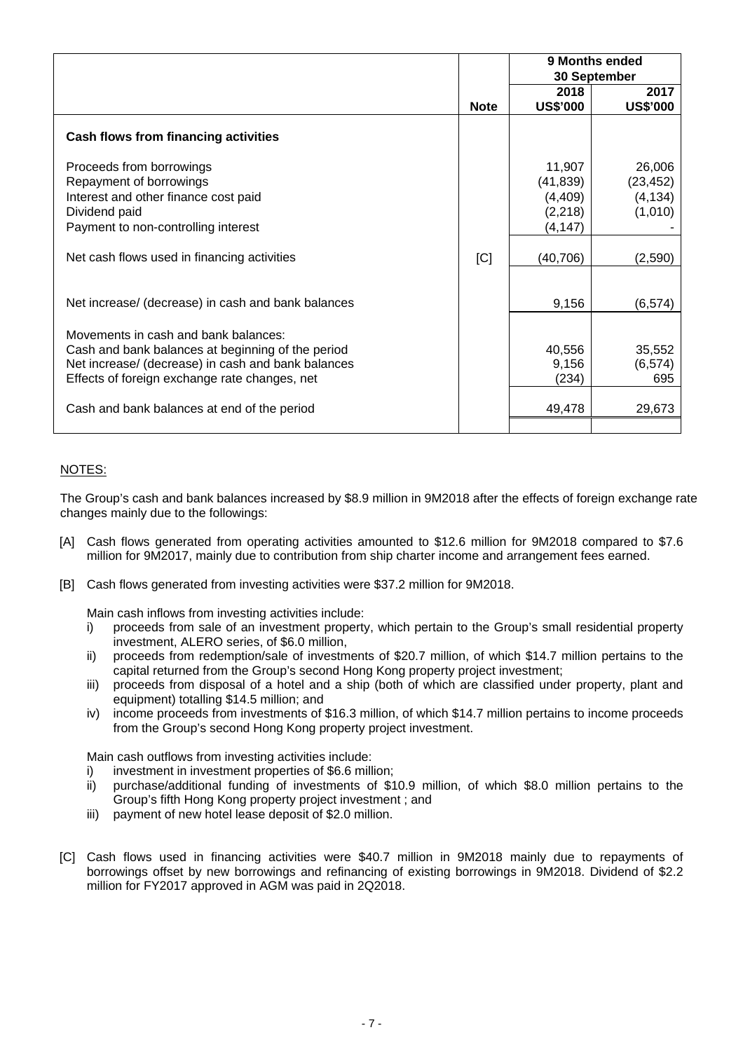|                                                                                                                                                                                                                                                 |             |                                                         | 9 Months ended<br>30 September             |
|-------------------------------------------------------------------------------------------------------------------------------------------------------------------------------------------------------------------------------------------------|-------------|---------------------------------------------------------|--------------------------------------------|
|                                                                                                                                                                                                                                                 | <b>Note</b> | 2018<br><b>US\$'000</b>                                 | 2017<br><b>US\$'000</b>                    |
| <b>Cash flows from financing activities</b>                                                                                                                                                                                                     |             |                                                         |                                            |
| Proceeds from borrowings<br>Repayment of borrowings<br>Interest and other finance cost paid<br>Dividend paid<br>Payment to non-controlling interest                                                                                             |             | 11,907<br>(41, 839)<br>(4, 409)<br>(2, 218)<br>(4, 147) | 26,006<br>(23, 452)<br>(4, 134)<br>(1,010) |
| Net cash flows used in financing activities                                                                                                                                                                                                     | C           | (40, 706)                                               | (2,590)                                    |
| Net increase/ (decrease) in cash and bank balances                                                                                                                                                                                              |             | 9,156                                                   | (6, 574)                                   |
| Movements in cash and bank balances:<br>Cash and bank balances at beginning of the period<br>Net increase/ (decrease) in cash and bank balances<br>Effects of foreign exchange rate changes, net<br>Cash and bank balances at end of the period |             | 40,556<br>9,156<br>(234)<br>49,478                      | 35,552<br>(6, 574)<br>695<br>29,673        |
|                                                                                                                                                                                                                                                 |             |                                                         |                                            |

# NOTES:

The Group's cash and bank balances increased by \$8.9 million in 9M2018 after the effects of foreign exchange rate changes mainly due to the followings:

- [A] Cash flows generated from operating activities amounted to \$12.6 million for 9M2018 compared to \$7.6 million for 9M2017, mainly due to contribution from ship charter income and arrangement fees earned.
- [B] Cash flows generated from investing activities were \$37.2 million for 9M2018.

Main cash inflows from investing activities include:

- i) proceeds from sale of an investment property, which pertain to the Group's small residential property investment, ALERO series, of \$6.0 million,
- ii) proceeds from redemption/sale of investments of \$20.7 million, of which \$14.7 million pertains to the capital returned from the Group's second Hong Kong property project investment;
- iii) proceeds from disposal of a hotel and a ship (both of which are classified under property, plant and equipment) totalling \$14.5 million; and
- iv) income proceeds from investments of \$16.3 million, of which \$14.7 million pertains to income proceeds from the Group's second Hong Kong property project investment.

Main cash outflows from investing activities include:

- i) investment in investment properties of \$6.6 million;
- ii) purchase/additional funding of investments of \$10.9 million, of which \$8.0 million pertains to the Group's fifth Hong Kong property project investment ; and
- iii) payment of new hotel lease deposit of \$2.0 million.
- [C] Cash flows used in financing activities were \$40.7 million in 9M2018 mainly due to repayments of borrowings offset by new borrowings and refinancing of existing borrowings in 9M2018. Dividend of \$2.2 million for FY2017 approved in AGM was paid in 2Q2018.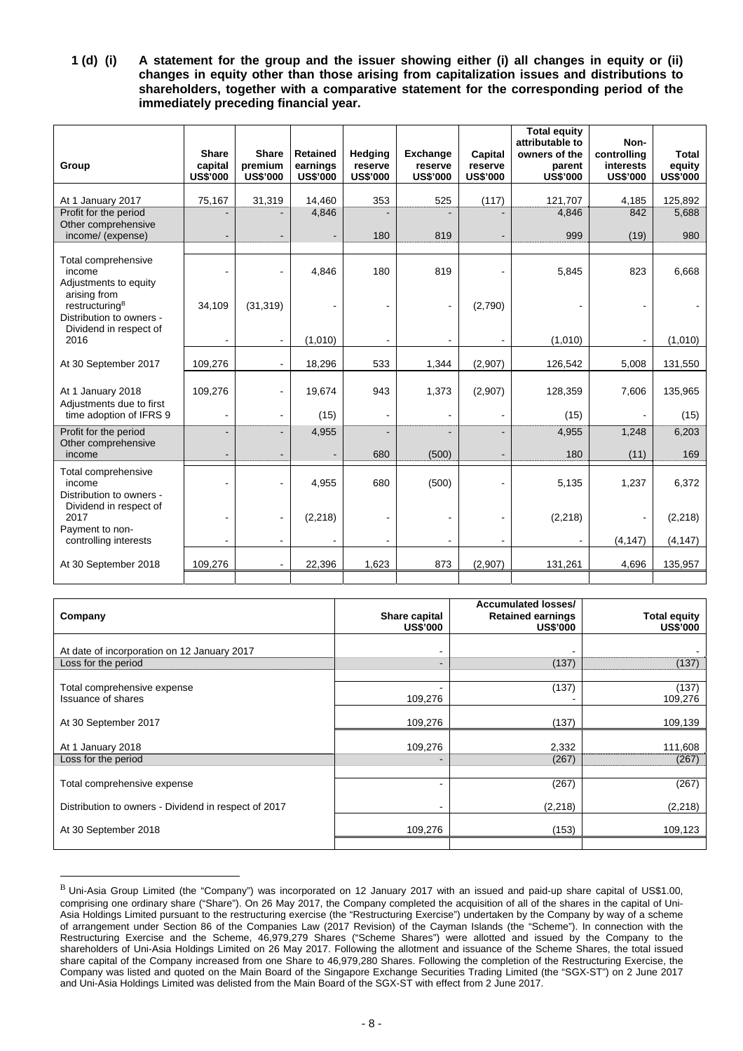**1 (d) (i) A statement for the group and the issuer showing either (i) all changes in equity or (ii) changes in equity other than those arising from capitalization issues and distributions to shareholders, together with a comparative statement for the corresponding period of the immediately preceding financial year.** 

| Group                                                                            | <b>Share</b><br>capital<br><b>US\$'000</b> | <b>Share</b><br>premium<br><b>US\$'000</b> | <b>Retained</b><br>earnings<br><b>US\$'000</b> | Hedging<br>reserve<br><b>US\$'000</b> | <b>Exchange</b><br>reserve<br><b>US\$'000</b> | Capital<br>reserve<br><b>US\$'000</b> | <b>Total equity</b><br>attributable to<br>owners of the<br>parent<br><b>US\$'000</b> | Non-<br>controlling<br>interests<br><b>US\$'000</b> | Total<br>equity<br><b>US\$'000</b> |
|----------------------------------------------------------------------------------|--------------------------------------------|--------------------------------------------|------------------------------------------------|---------------------------------------|-----------------------------------------------|---------------------------------------|--------------------------------------------------------------------------------------|-----------------------------------------------------|------------------------------------|
| At 1 January 2017                                                                | 75,167                                     | 31,319                                     | 14,460                                         | 353                                   | 525                                           | (117)                                 | 121,707                                                                              | 4,185                                               | 125,892                            |
| Profit for the period<br>Other comprehensive<br>income/ (expense)                |                                            |                                            | 4,846                                          | 180                                   | 819                                           |                                       | 4,846<br>999                                                                         | 842<br>(19)                                         | 5,688<br>980                       |
|                                                                                  |                                            |                                            | ۰.                                             |                                       |                                               |                                       |                                                                                      |                                                     |                                    |
| Total comprehensive<br>income<br>Adjustments to equity<br>arising from           |                                            |                                            | 4,846                                          | 180                                   | 819                                           |                                       | 5,845                                                                                | 823                                                 | 6,668                              |
| restructuring <sup>B</sup><br>Distribution to owners -<br>Dividend in respect of | 34,109                                     | (31, 319)                                  |                                                |                                       |                                               | (2,790)                               |                                                                                      |                                                     |                                    |
| 2016                                                                             |                                            | $\overline{\phantom{a}}$                   | (1,010)                                        |                                       |                                               |                                       | (1,010)                                                                              |                                                     | (1,010)                            |
| At 30 September 2017                                                             | 109,276                                    |                                            | 18,296                                         | 533                                   | 1,344                                         | (2,907)                               | 126,542                                                                              | 5,008                                               | 131,550                            |
| At 1 January 2018<br>Adjustments due to first                                    | 109,276                                    |                                            | 19,674                                         | 943                                   | 1,373                                         | (2,907)                               | 128,359                                                                              | 7,606                                               | 135,965                            |
| time adoption of IFRS 9                                                          |                                            | $\blacksquare$                             | (15)                                           | $\overline{\phantom{a}}$              | $\overline{a}$                                |                                       | (15)                                                                                 |                                                     | (15)                               |
| Profit for the period                                                            |                                            | $\overline{a}$                             | 4,955                                          |                                       |                                               |                                       | 4,955                                                                                | 1,248                                               | 6,203                              |
| Other comprehensive<br>income                                                    |                                            |                                            | $\blacksquare$                                 | 680                                   | (500)                                         |                                       | 180                                                                                  | (11)                                                | 169                                |
| Total comprehensive<br>income<br>Distribution to owners -                        |                                            |                                            | 4,955                                          | 680                                   | (500)                                         |                                       | 5,135                                                                                | 1,237                                               | 6,372                              |
| Dividend in respect of<br>2017<br>Payment to non-                                |                                            |                                            | (2, 218)                                       |                                       |                                               |                                       | (2, 218)                                                                             |                                                     | (2, 218)                           |
| controlling interests                                                            |                                            |                                            |                                                |                                       |                                               |                                       |                                                                                      | (4, 147)                                            | (4, 147)                           |
| At 30 September 2018                                                             | 109,276                                    |                                            | 22,396                                         | 1,623                                 | 873                                           | (2,907)                               | 131,261                                                                              | 4,696                                               | 135,957                            |

| Company                                                  | Share capital<br><b>US\$'000</b> | <b>Accumulated losses/</b><br><b>Retained earnings</b><br><b>US\$'000</b> | <b>Total equity</b><br><b>US\$'000</b> |
|----------------------------------------------------------|----------------------------------|---------------------------------------------------------------------------|----------------------------------------|
| At date of incorporation on 12 January 2017              | ۰                                |                                                                           |                                        |
| Loss for the period                                      | $\blacksquare$                   | (137)                                                                     | (137)                                  |
| Total comprehensive expense<br><b>Issuance of shares</b> | 109,276                          | (137)                                                                     | (137)<br>109,276                       |
| At 30 September 2017                                     | 109,276                          | (137)                                                                     | 109,139                                |
| At 1 January 2018                                        | 109,276                          | 2,332                                                                     | 111,608                                |
| Loss for the period                                      |                                  | (267)                                                                     | (267)                                  |
| Total comprehensive expense                              | ۰                                | (267)                                                                     | (267)                                  |
| Distribution to owners - Dividend in respect of 2017     | ۰                                | (2, 218)                                                                  | (2, 218)                               |
| At 30 September 2018                                     | 109,276                          | (153)                                                                     | 109,123                                |

B Uni-Asia Group Limited (the "Company") was incorporated on 12 January 2017 with an issued and paid-up share capital of US\$1.00, comprising one ordinary share ("Share"). On 26 May 2017, the Company completed the acquisition of all of the shares in the capital of Uni-Asia Holdings Limited pursuant to the restructuring exercise (the "Restructuring Exercise") undertaken by the Company by way of a scheme of arrangement under Section 86 of the Companies Law (2017 Revision) of the Cayman Islands (the "Scheme"). In connection with the Restructuring Exercise and the Scheme, 46,979,279 Shares ("Scheme Shares") were allotted and issued by the Company to the shareholders of Uni-Asia Holdings Limited on 26 May 2017. Following the allotment and issuance of the Scheme Shares, the total issued share capital of the Company increased from one Share to 46,979,280 Shares. Following the completion of the Restructuring Exercise, the Company was listed and quoted on the Main Board of the Singapore Exchange Securities Trading Limited (the "SGX-ST") on 2 June 2017 and Uni-Asia Holdings Limited was delisted from the Main Board of the SGX-ST with effect from 2 June 2017.

 $\overline{a}$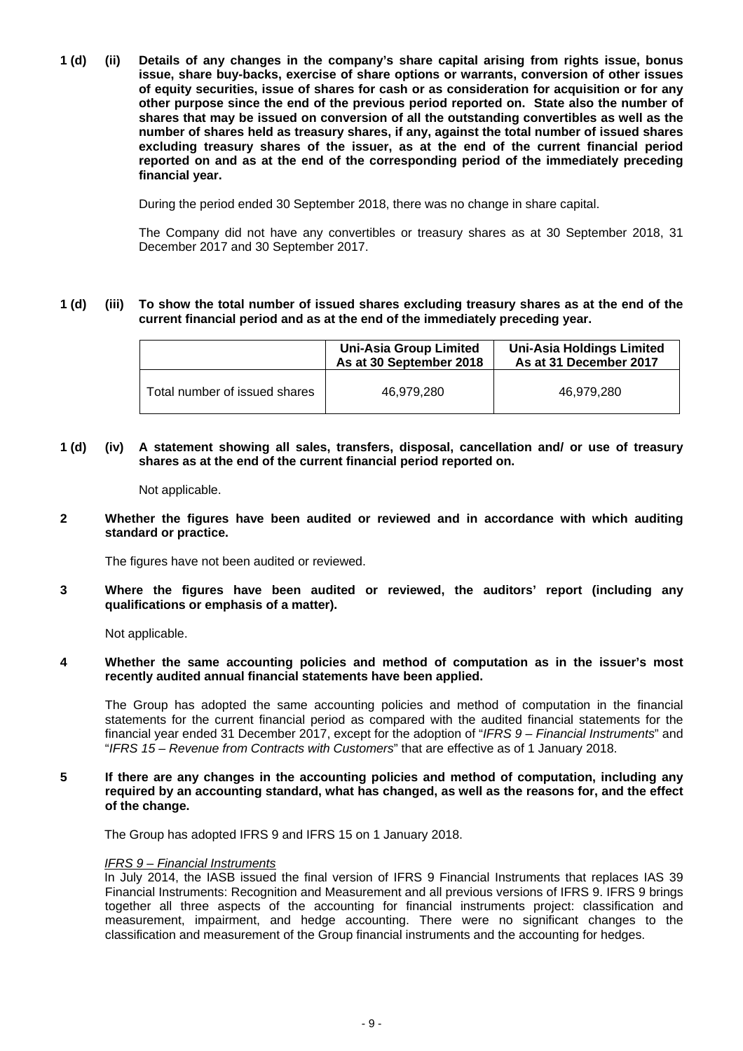**1 (d) (ii) Details of any changes in the company's share capital arising from rights issue, bonus issue, share buy-backs, exercise of share options or warrants, conversion of other issues of equity securities, issue of shares for cash or as consideration for acquisition or for any other purpose since the end of the previous period reported on. State also the number of shares that may be issued on conversion of all the outstanding convertibles as well as the number of shares held as treasury shares, if any, against the total number of issued shares excluding treasury shares of the issuer, as at the end of the current financial period reported on and as at the end of the corresponding period of the immediately preceding financial year.** 

During the period ended 30 September 2018, there was no change in share capital.

 The Company did not have any convertibles or treasury shares as at 30 September 2018, 31 December 2017 and 30 September 2017.

#### **1 (d) (iii) To show the total number of issued shares excluding treasury shares as at the end of the current financial period and as at the end of the immediately preceding year.**

|                               | <b>Uni-Asia Group Limited</b><br>As at 30 September 2018 | <b>Uni-Asia Holdings Limited</b><br>As at 31 December 2017 |
|-------------------------------|----------------------------------------------------------|------------------------------------------------------------|
| Total number of issued shares | 46.979.280                                               | 46.979.280                                                 |

**1 (d) (iv) A statement showing all sales, transfers, disposal, cancellation and/ or use of treasury shares as at the end of the current financial period reported on.** 

Not applicable.

**2 Whether the figures have been audited or reviewed and in accordance with which auditing standard or practice.** 

The figures have not been audited or reviewed.

**3 Where the figures have been audited or reviewed, the auditors' report (including any qualifications or emphasis of a matter).** 

Not applicable.

#### **4 Whether the same accounting policies and method of computation as in the issuer's most recently audited annual financial statements have been applied.**

The Group has adopted the same accounting policies and method of computation in the financial statements for the current financial period as compared with the audited financial statements for the financial year ended 31 December 2017, except for the adoption of "*IFRS 9 – Financial Instruments*" and "*IFRS 15 – Revenue from Contracts with Customers*" that are effective as of 1 January 2018.

**5 If there are any changes in the accounting policies and method of computation, including any required by an accounting standard, what has changed, as well as the reasons for, and the effect of the change.** 

The Group has adopted IFRS 9 and IFRS 15 on 1 January 2018.

#### *IFRS 9 – Financial Instruments*

In July 2014, the IASB issued the final version of IFRS 9 Financial Instruments that replaces IAS 39 Financial Instruments: Recognition and Measurement and all previous versions of IFRS 9. IFRS 9 brings together all three aspects of the accounting for financial instruments project: classification and measurement, impairment, and hedge accounting. There were no significant changes to the classification and measurement of the Group financial instruments and the accounting for hedges.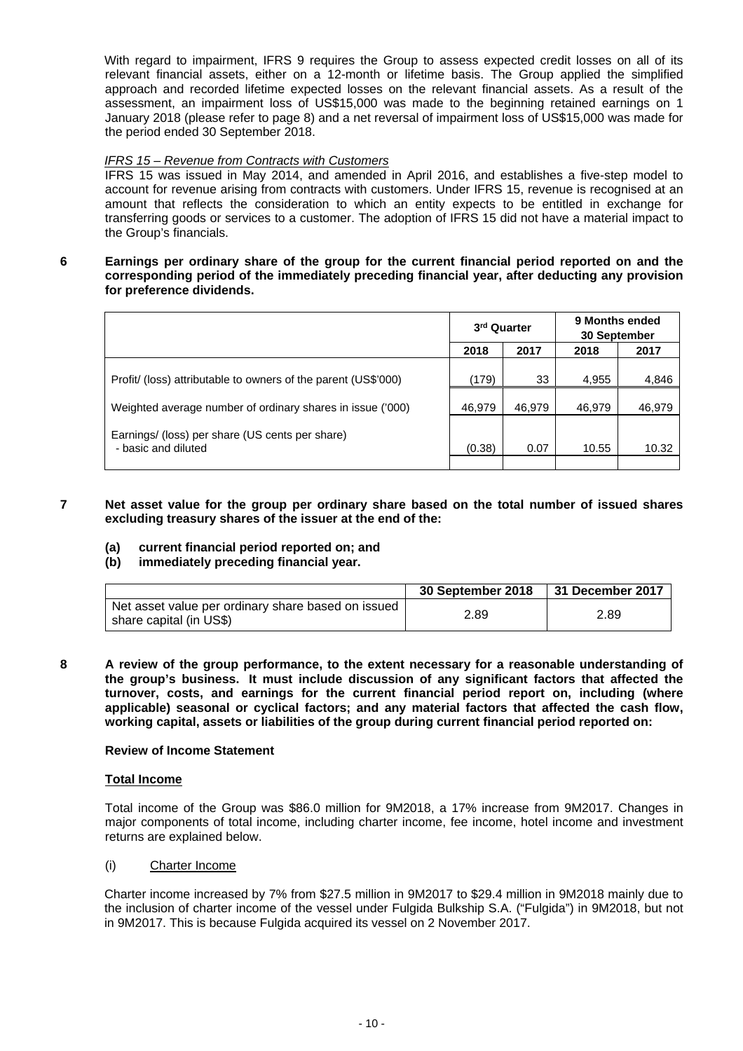With regard to impairment, IFRS 9 requires the Group to assess expected credit losses on all of its relevant financial assets, either on a 12-month or lifetime basis. The Group applied the simplified approach and recorded lifetime expected losses on the relevant financial assets. As a result of the assessment, an impairment loss of US\$15,000 was made to the beginning retained earnings on 1 January 2018 (please refer to page 8) and a net reversal of impairment loss of US\$15,000 was made for the period ended 30 September 2018.

## *IFRS 15 – Revenue from Contracts with Customers*

IFRS 15 was issued in May 2014, and amended in April 2016, and establishes a five-step model to account for revenue arising from contracts with customers. Under IFRS 15, revenue is recognised at an amount that reflects the consideration to which an entity expects to be entitled in exchange for transferring goods or services to a customer. The adoption of IFRS 15 did not have a material impact to the Group's financials.

#### **6 Earnings per ordinary share of the group for the current financial period reported on and the corresponding period of the immediately preceding financial year, after deducting any provision for preference dividends.**

|                                                                        | 3 <sup>rd</sup> Quarter |        | 9 Months ended<br>30 September |        |
|------------------------------------------------------------------------|-------------------------|--------|--------------------------------|--------|
|                                                                        | 2018                    | 2017   | 2018                           | 2017   |
| Profit/ (loss) attributable to owners of the parent (US\$'000)         | (179)                   | 33     | 4,955                          | 4,846  |
| Weighted average number of ordinary shares in issue ('000)             | 46,979                  | 46,979 | 46,979                         | 46,979 |
| Earnings/ (loss) per share (US cents per share)<br>- basic and diluted | (0.38)                  | 0.07   | 10.55                          | 10.32  |
|                                                                        |                         |        |                                |        |

#### **7 Net asset value for the group per ordinary share based on the total number of issued shares excluding treasury shares of the issuer at the end of the:**

**(a) current financial period reported on; and** 

## **(b) immediately preceding financial year.**

|                                                                               | 30 September 2018 | 31 December 2017 |
|-------------------------------------------------------------------------------|-------------------|------------------|
| Net asset value per ordinary share based on issued<br>share capital (in US\$) | 2.89              | 2.89             |

**8 A review of the group performance, to the extent necessary for a reasonable understanding of the group's business. It must include discussion of any significant factors that affected the turnover, costs, and earnings for the current financial period report on, including (where applicable) seasonal or cyclical factors; and any material factors that affected the cash flow, working capital, assets or liabilities of the group during current financial period reported on:** 

#### **Review of Income Statement**

#### **Total Income**

Total income of the Group was \$86.0 million for 9M2018, a 17% increase from 9M2017. Changes in major components of total income, including charter income, fee income, hotel income and investment returns are explained below.

(i) Charter Income

Charter income increased by 7% from \$27.5 million in 9M2017 to \$29.4 million in 9M2018 mainly due to the inclusion of charter income of the vessel under Fulgida Bulkship S.A. ("Fulgida") in 9M2018, but not in 9M2017. This is because Fulgida acquired its vessel on 2 November 2017.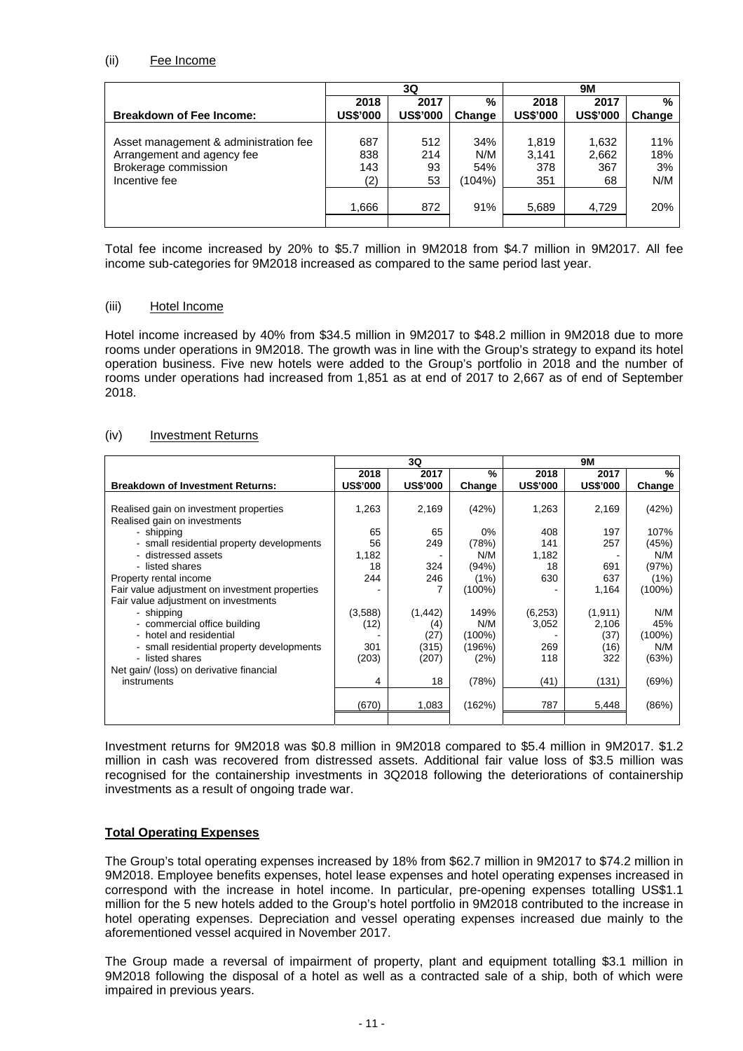### (ii) Fee Income

|                                       | 3Q              |                 |        | <b>9M</b>       |                 |        |
|---------------------------------------|-----------------|-----------------|--------|-----------------|-----------------|--------|
|                                       | 2018            | 2017            | %      | 2018            | 2017            | %      |
| <b>Breakdown of Fee Income:</b>       | <b>US\$'000</b> | <b>US\$'000</b> | Change | <b>US\$'000</b> | <b>US\$'000</b> | Change |
| Asset management & administration fee | 687             | 512             | 34%    | 1.819           | 1,632           | 11%    |
| Arrangement and agency fee            | 838             | 214             | N/M    | 3.141           | 2,662           | 18%    |
| Brokerage commission                  | 143             | 93              | 54%    | 378             | 367             | 3%     |
| Incentive fee                         | (2)             | 53              | (104%) | 351             | 68              | N/M    |
|                                       | 866.            | 872             | 91%    | 5,689           | 4,729           | 20%    |

Total fee income increased by 20% to \$5.7 million in 9M2018 from \$4.7 million in 9M2017. All fee income sub-categories for 9M2018 increased as compared to the same period last year.

## (iii) Hotel Income

Hotel income increased by 40% from \$34.5 million in 9M2017 to \$48.2 million in 9M2018 due to more rooms under operations in 9M2018. The growth was in line with the Group's strategy to expand its hotel operation business. Five new hotels were added to the Group's portfolio in 2018 and the number of rooms under operations had increased from 1,851 as at end of 2017 to 2,667 as of end of September 2018.

## (iv) Investment Returns

|                                                                                                                                                                                                                                                                                                                                                                                                                                                                                                     | 3Q                                                                                       |                                                                                              |                                                                                                                         | <b>9M</b>                                                                                  |                                                                                                          |                                                                                                                          |
|-----------------------------------------------------------------------------------------------------------------------------------------------------------------------------------------------------------------------------------------------------------------------------------------------------------------------------------------------------------------------------------------------------------------------------------------------------------------------------------------------------|------------------------------------------------------------------------------------------|----------------------------------------------------------------------------------------------|-------------------------------------------------------------------------------------------------------------------------|--------------------------------------------------------------------------------------------|----------------------------------------------------------------------------------------------------------|--------------------------------------------------------------------------------------------------------------------------|
|                                                                                                                                                                                                                                                                                                                                                                                                                                                                                                     | 2018                                                                                     | 2017                                                                                         | %                                                                                                                       | 2018                                                                                       | 2017                                                                                                     | %                                                                                                                        |
| <b>Breakdown of Investment Returns:</b>                                                                                                                                                                                                                                                                                                                                                                                                                                                             | <b>US\$'000</b>                                                                          | <b>US\$'000</b>                                                                              | Change                                                                                                                  | <b>US\$'000</b>                                                                            | <b>US\$'000</b>                                                                                          | Change                                                                                                                   |
| Realised gain on investment properties<br>Realised gain on investments<br>- shipping<br>- small residential property developments<br>- distressed assets<br>- listed shares<br>Property rental income<br>Fair value adjustment on investment properties<br>Fair value adjustment on investments<br>- shipping<br>- commercial office building<br>- hotel and residential<br>- small residential property developments<br>- listed shares<br>Net gain/ (loss) on derivative financial<br>instruments | 1,263<br>65<br>56<br>1,182<br>18<br>244<br>(3,588)<br>(12)<br>301<br>(203)<br>4<br>(670) | 2,169<br>65<br>249<br>324<br>246<br>(1, 442)<br>(4)<br>(27)<br>(315)<br>(207)<br>18<br>1,083 | (42%)<br>$0\%$<br>(78%)<br>N/M<br>(94%)<br>(1%)<br>(100%)<br>149%<br>N/M<br>(100%)<br>(196%)<br>(2%)<br>(78%)<br>(162%) | 1,263<br>408<br>141<br>1,182<br>18<br>630<br>(6,253)<br>3,052<br>269<br>118<br>(41)<br>787 | 2,169<br>197<br>257<br>691<br>637<br>1,164<br>(1, 911)<br>2,106<br>(37)<br>(16)<br>322<br>(131)<br>5,448 | (42%)<br>107%<br>(45%)<br>N/M<br>(97%)<br>(1%)<br>$(100\%)$<br>N/M<br>45%<br>$(100\%)$<br>N/M<br>(63%)<br>(69%)<br>(86%) |

Investment returns for 9M2018 was \$0.8 million in 9M2018 compared to \$5.4 million in 9M2017. \$1.2 million in cash was recovered from distressed assets. Additional fair value loss of \$3.5 million was recognised for the containership investments in 3Q2018 following the deteriorations of containership investments as a result of ongoing trade war.

# **Total Operating Expenses**

The Group's total operating expenses increased by 18% from \$62.7 million in 9M2017 to \$74.2 million in 9M2018. Employee benefits expenses, hotel lease expenses and hotel operating expenses increased in correspond with the increase in hotel income. In particular, pre-opening expenses totalling US\$1.1 million for the 5 new hotels added to the Group's hotel portfolio in 9M2018 contributed to the increase in hotel operating expenses. Depreciation and vessel operating expenses increased due mainly to the aforementioned vessel acquired in November 2017.

The Group made a reversal of impairment of property, plant and equipment totalling \$3.1 million in 9M2018 following the disposal of a hotel as well as a contracted sale of a ship, both of which were impaired in previous years.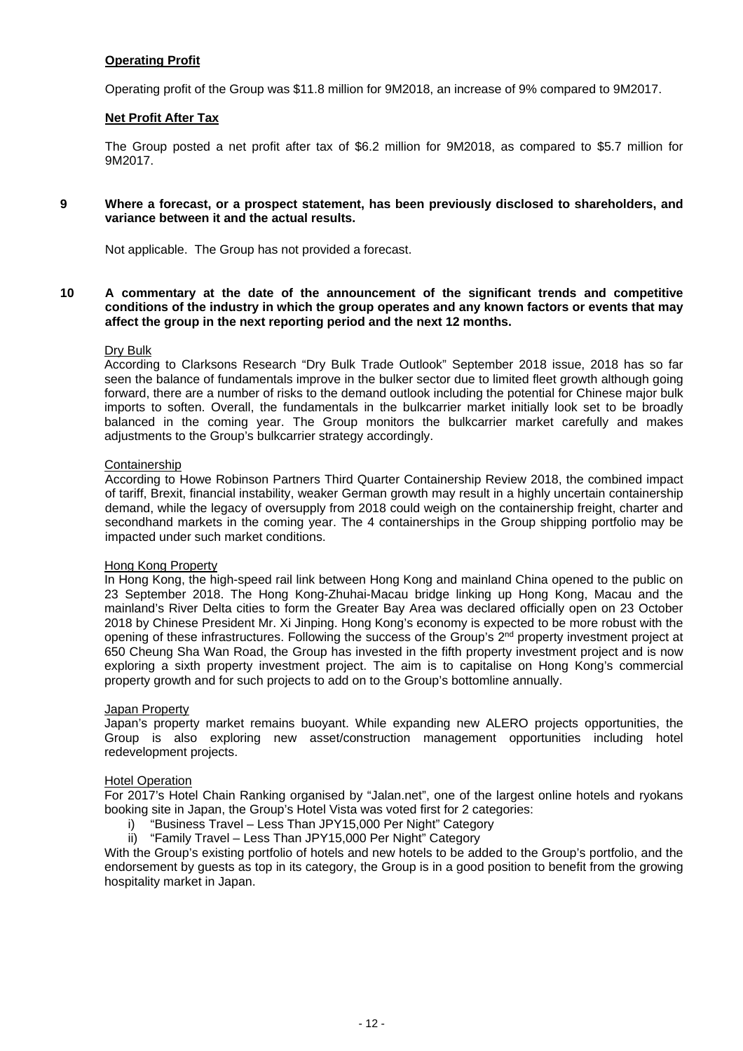## **Operating Profit**

Operating profit of the Group was \$11.8 million for 9M2018, an increase of 9% compared to 9M2017.

#### **Net Profit After Tax**

The Group posted a net profit after tax of \$6.2 million for 9M2018, as compared to \$5.7 million for 9M2017.

#### **9 Where a forecast, or a prospect statement, has been previously disclosed to shareholders, and variance between it and the actual results.**

Not applicable. The Group has not provided a forecast.

**10 A commentary at the date of the announcement of the significant trends and competitive conditions of the industry in which the group operates and any known factors or events that may affect the group in the next reporting period and the next 12 months.** 

#### Dry Bulk

According to Clarksons Research "Dry Bulk Trade Outlook" September 2018 issue, 2018 has so far seen the balance of fundamentals improve in the bulker sector due to limited fleet growth although going forward, there are a number of risks to the demand outlook including the potential for Chinese major bulk imports to soften. Overall, the fundamentals in the bulkcarrier market initially look set to be broadly balanced in the coming year. The Group monitors the bulkcarrier market carefully and makes adjustments to the Group's bulkcarrier strategy accordingly.

#### Containership

According to Howe Robinson Partners Third Quarter Containership Review 2018, the combined impact of tariff, Brexit, financial instability, weaker German growth may result in a highly uncertain containership demand, while the legacy of oversupply from 2018 could weigh on the containership freight, charter and secondhand markets in the coming year. The 4 containerships in the Group shipping portfolio may be impacted under such market conditions.

#### Hong Kong Property

In Hong Kong, the high-speed rail link between Hong Kong and mainland China opened to the public on 23 September 2018. The Hong Kong-Zhuhai-Macau bridge linking up Hong Kong, Macau and the mainland's River Delta cities to form the Greater Bay Area was declared officially open on 23 October 2018 by Chinese President Mr. Xi Jinping. Hong Kong's economy is expected to be more robust with the opening of these infrastructures. Following the success of the Group's 2<sup>nd</sup> property investment project at 650 Cheung Sha Wan Road, the Group has invested in the fifth property investment project and is now exploring a sixth property investment project. The aim is to capitalise on Hong Kong's commercial property growth and for such projects to add on to the Group's bottomline annually.

## Japan Property

Japan's property market remains buoyant. While expanding new ALERO projects opportunities, the Group is also exploring new asset/construction management opportunities including hotel redevelopment projects.

#### Hotel Operation

For 2017's Hotel Chain Ranking organised by "Jalan.net", one of the largest online hotels and ryokans booking site in Japan, the Group's Hotel Vista was voted first for 2 categories:

- i) "Business Travel Less Than JPY15,000 Per Night" Category
- ii) "Family Travel Less Than JPY15,000 Per Night" Category

With the Group's existing portfolio of hotels and new hotels to be added to the Group's portfolio, and the endorsement by guests as top in its category, the Group is in a good position to benefit from the growing hospitality market in Japan.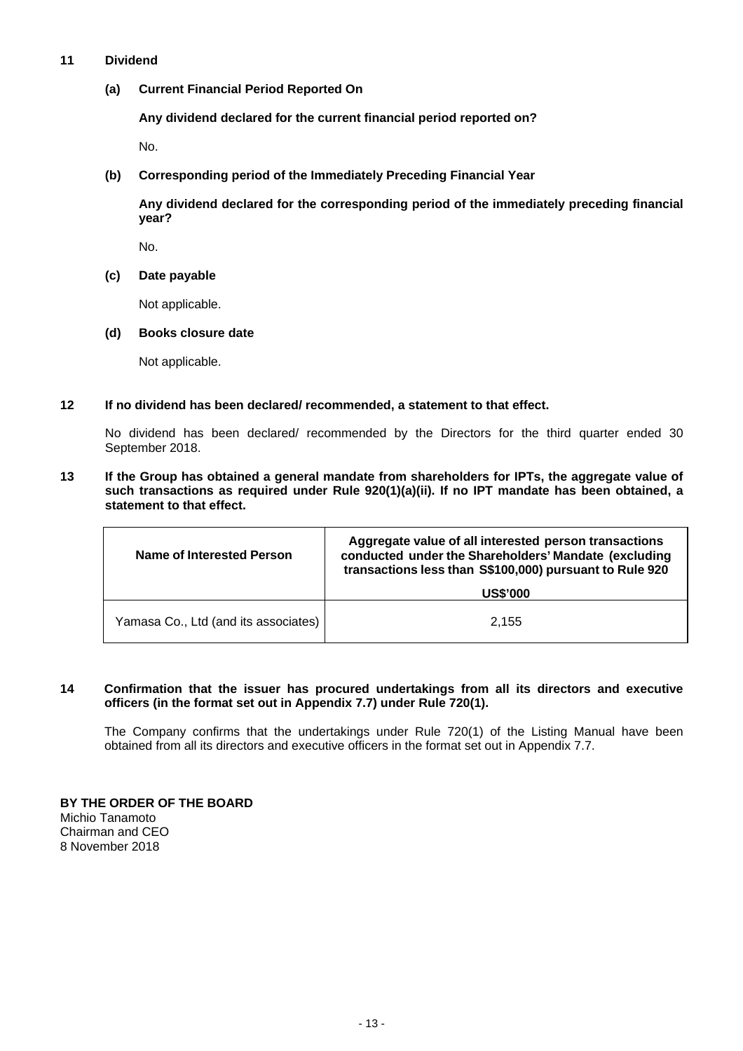## **11 Dividend**

**(a) Current Financial Period Reported On** 

**Any dividend declared for the current financial period reported on?** 

No.

**(b) Corresponding period of the Immediately Preceding Financial Year** 

**Any dividend declared for the corresponding period of the immediately preceding financial year?** 

No.

**(c) Date payable** 

Not applicable.

**(d) Books closure date** 

Not applicable.

## **12 If no dividend has been declared/ recommended, a statement to that effect.**

No dividend has been declared/ recommended by the Directors for the third quarter ended 30 September 2018.

**13 If the Group has obtained a general mandate from shareholders for IPTs, the aggregate value of such transactions as required under Rule 920(1)(a)(ii). If no IPT mandate has been obtained, a statement to that effect.** 

| Name of Interested Person            | Aggregate value of all interested person transactions<br>conducted under the Shareholders' Mandate (excluding<br>transactions less than S\$100,000) pursuant to Rule 920 |
|--------------------------------------|--------------------------------------------------------------------------------------------------------------------------------------------------------------------------|
|                                      | <b>US\$'000</b>                                                                                                                                                          |
| Yamasa Co., Ltd (and its associates) | 2.155                                                                                                                                                                    |

## **14 Confirmation that the issuer has procured undertakings from all its directors and executive officers (in the format set out in Appendix 7.7) under Rule 720(1).**

The Company confirms that the undertakings under Rule 720(1) of the Listing Manual have been obtained from all its directors and executive officers in the format set out in Appendix 7.7.

**BY THE ORDER OF THE BOARD**  Michio Tanamoto Chairman and CEO 8 November 2018